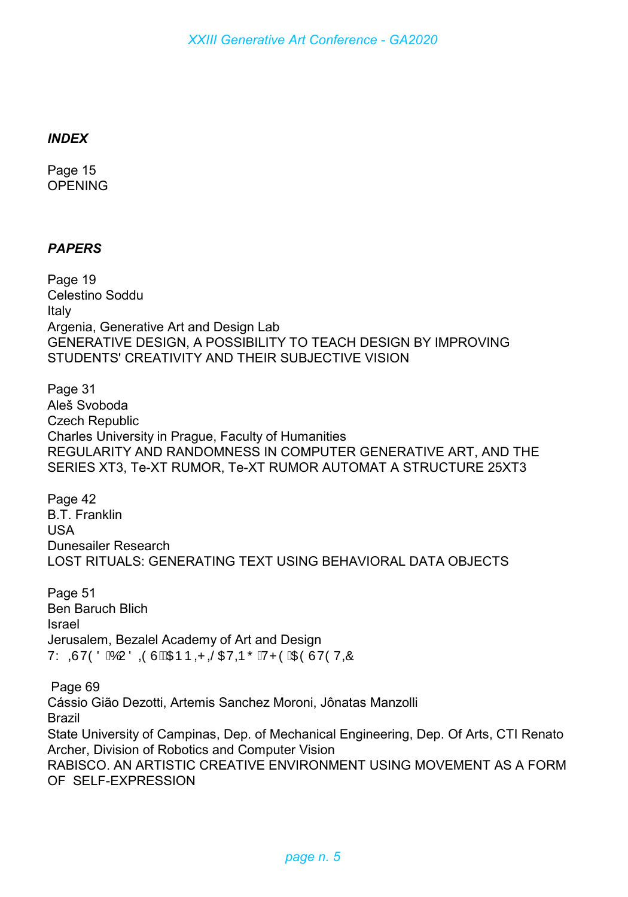## *INDEX*

Page 15 **OPENING** 

## *PAPERS*

Page 19 Celestino Soddu Italy Argenia, Generative Art and Design Lab GENERATIVE DESIGN, A POSSIBILITY TO TEACH DESIGN BY IMPROVING STUDENTS' CREATIVITY AND THEIR SUBJECTIVE VISION

Page 31 Aleš Svoboda Czech Republic Charles University in Prague, Faculty of Humanities REGULARITY AND RANDOMNESS IN COMPUTER GENERATIVE ART, AND THE SERIES XT3, Te-XT RUMOR, Te-XT RUMOR AUTOMAT A STRUCTURE 25XT3

Page 42 B.T. Franklin USA Dunesailer Research LOST RITUALS: GENERATING TEXT USING BEHAVIORAL DATA OBJECTS

Page 51 Ben Baruch Blich Israel Jerusalem, Bezalel Academy of Art and Design VY QÙVÒÖ ÁÓ U Ö QÒÙ HÁDEÞ QP QŠOEV QÞ Õ ÁV PÒ ÁDEÒ ÚVÒ V QÔ

Page 69 Cássio Gião Dezotti, Artemis Sanchez Moroni, Jônatas Manzolli Brazil State University of Campinas, Dep. of Mechanical Engineering, Dep. Of Arts, CTI Renato Archer, Division of Robotics and Computer Vision RABISCO. AN ARTISTIC CREATIVE ENVIRONMENT USING MOVEMENT AS A FORM OF SELF-EXPRESSION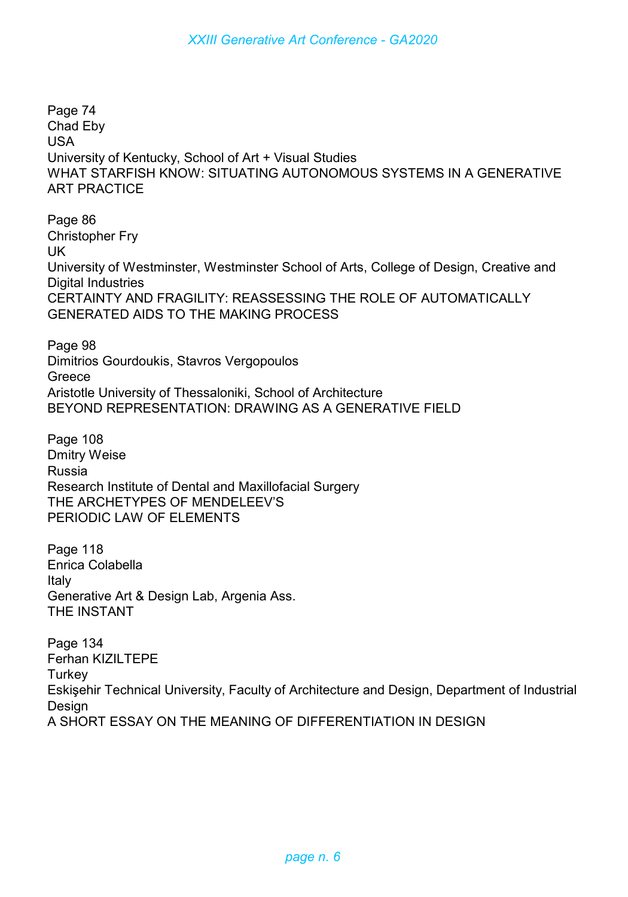Page 74 Chad Eby USA University of Kentucky, School of Art + Visual Studies WHAT STARFISH KNOW: SITUATING AUTONOMOUS SYSTEMS IN A GENERATIVE ART PRACTICE

Page 86 Christopher Fry UK University of Westminster, Westminster School of Arts, College of Design, Creative and Digital Industries CERTAINTY AND FRAGILITY: REASSESSING THE ROLE OF AUTOMATICALLY GENERATED AIDS TO THE MAKING PROCESS

Page 98 Dimitrios Gourdoukis, Stavros Vergopoulos **Greece** Aristotle University of Thessaloniki, School of Architecture BEYOND REPRESENTATION: DRAWING AS A GENERATIVE FIELD

Page 108 Dmitry Weise Russia Research Institute of Dental and Maxillofacial Surgery THE ARCHETYPES OF MENDELEEV'S PERIODIC LAW OF ELEMENTS

Page 118 Enrica Colabella Italy Generative Art & Design Lab, Argenia Ass. THE INSTANT

Page 134 Ferhan KIZILTEPE **Turkey** Eskişehir Technical University, Faculty of Architecture and Design, Department of Industrial **Design** A SHORT ESSAY ON THE MEANING OF DIFFERENTIATION IN DESIGN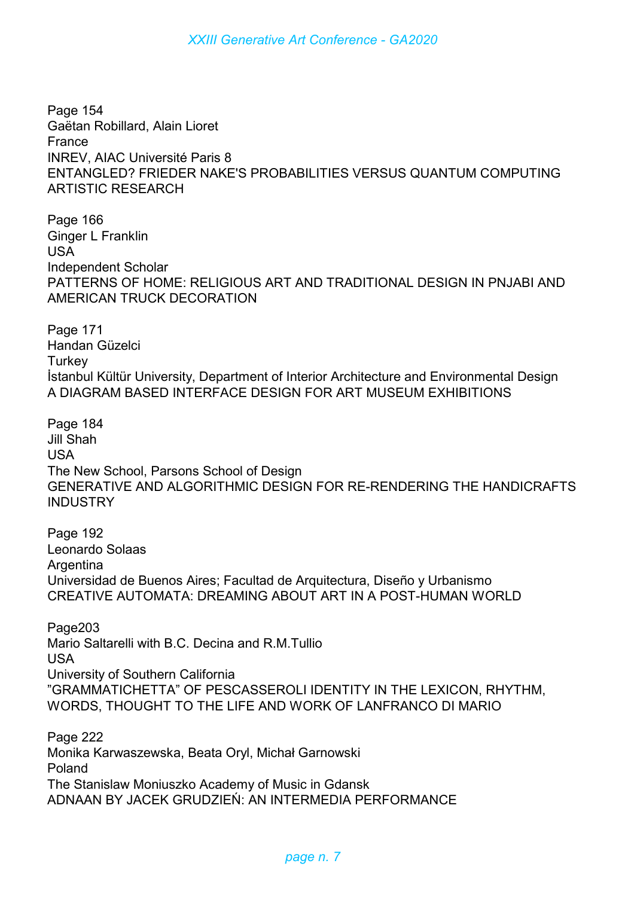*XXIII Generative Art Conference - GA2020*

Page 154 Gaëtan Robillard, Alain Lioret France INREV, AIAC Université Paris 8 ENTANGLED? FRIEDER NAKE'S PROBABILITIES VERSUS QUANTUM COMPUTING ARTISTIC RESEARCH

Page 166 Ginger L Franklin USA Independent Scholar PATTERNS OF HOME: RELIGIOUS ART AND TRADITIONAL DESIGN IN PNJABI AND AMERICAN TRUCK DECORATION

Page 171 Handan Güzelci **Turkey** İstanbul Kültür University, Department of Interior Architecture and Environmental Design A DIAGRAM BASED INTERFACE DESIGN FOR ART MUSEUM EXHIBITIONS

Page 184 Jill Shah USA The New School, Parsons School of Design GENERATIVE AND ALGORITHMIC DESIGN FOR RE-RENDERING THE HANDICRAFTS INDUSTRY

Page 192 Leonardo Solaas **Argentina** Universidad de Buenos Aires; Facultad de Arquitectura, Diseño y Urbanismo CREATIVE AUTOMATA: DREAMING ABOUT ART IN A POST-HUMAN WORLD

Page203 Mario Saltarelli with B.C. Decina and R.M.Tullio USA University of Southern California "GRAMMATICHETTA" OF PESCASSEROLI IDENTITY IN THE LEXICON, RHYTHM, WORDS, THOUGHT TO THE LIFE AND WORK OF LANFRANCO DI MARIO

Page 222 Monika Karwaszewska, Beata Oryl, Michał Garnowski Poland The Stanislaw Moniuszko Academy of Music in Gdansk ADNAAN BY JACEK GRUDZIEŃ: AN INTERMEDIA PERFORMANCE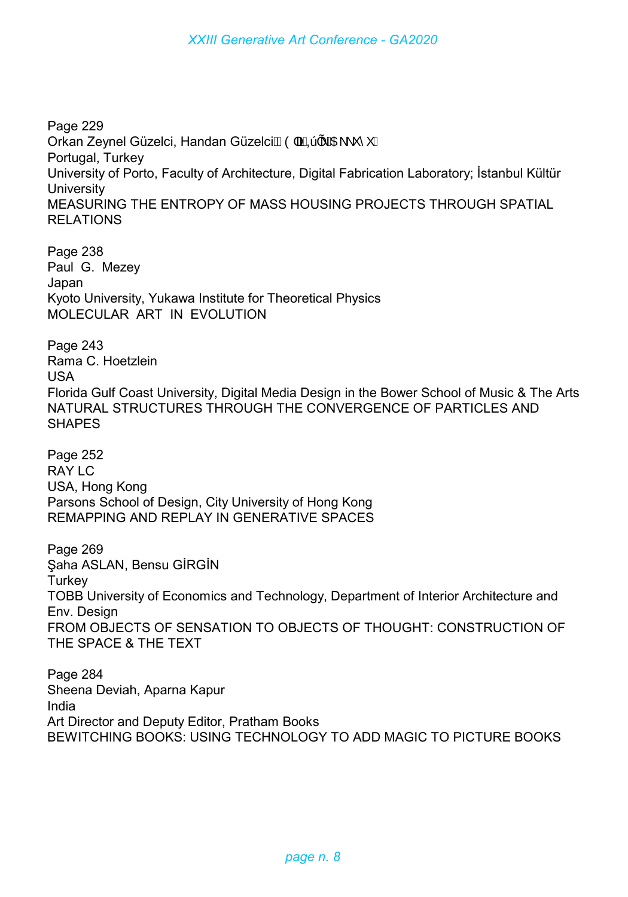Page 229 Orkan Zeynel Güzelci, Handan Güzelci $\tilde{A}$ Ò|ã $\tilde{A}$ QA  $\tilde{A}$ A $\tilde{A}$  \ \* ^ \*  $\tilde{A}$ Portugal, Turkey University of Porto, Faculty of Architecture, Digital Fabrication Laboratory; İstanbul Kültür **University** MEASURING THE ENTROPY OF MASS HOUSING PROJECTS THROUGH SPATIAL RELATIONS

Page 238 Paul G. Mezey Japan Kyoto University, Yukawa Institute for Theoretical Physics MOLECULAR ART IN EVOLUTION

Page 243 Rama C. Hoetzlein USA Florida Gulf Coast University, Digital Media Design in the Bower School of Music & The Arts NATURAL STRUCTURES THROUGH THE CONVERGENCE OF PARTICLES AND SHAPES

Page 252 RAY LC USA, Hong Kong Parsons School of Design, City University of Hong Kong REMAPPING AND REPLAY IN GENERATIVE SPACES

Page 269 Şaha ASLAN, Bensu GİRGİN **Turkey** TOBB University of Economics and Technology, Department of Interior Architecture and Env. Design FROM OBJECTS OF SENSATION TO OBJECTS OF THOUGHT: CONSTRUCTION OF THE SPACE & THE TEXT

Page 284 Sheena Deviah, Aparna Kapur India Art Director and Deputy Editor, Pratham Books BEWITCHING BOOKS: USING TECHNOLOGY TO ADD MAGIC TO PICTURE BOOKS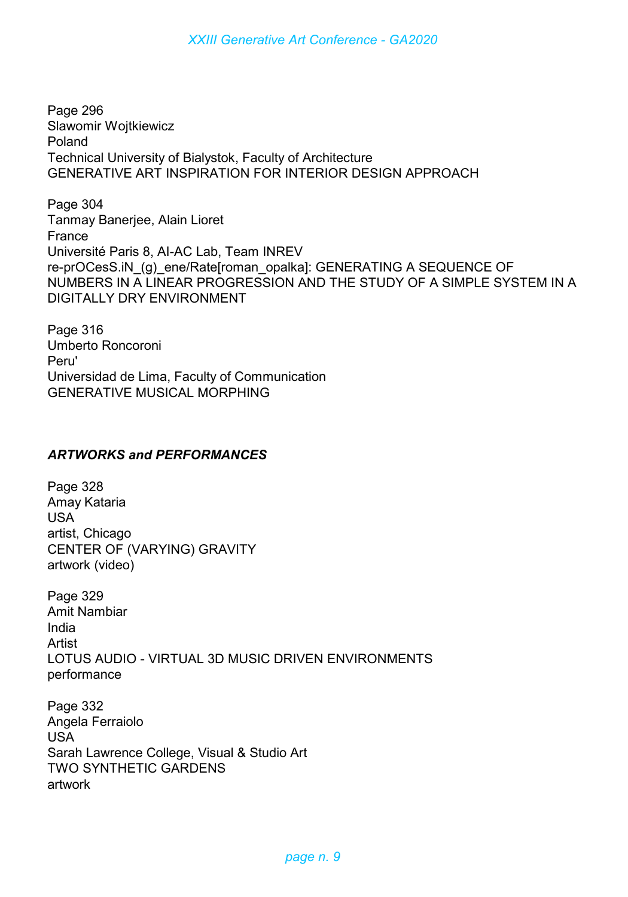Page 296 Slawomir Wojtkiewicz Poland Technical University of Bialystok, Faculty of Architecture GENERATIVE ART INSPIRATION FOR INTERIOR DESIGN APPROACH

Page 304 Tanmay Banerjee, Alain Lioret France Université Paris 8, AI-AC Lab, Team INREV re-prOCesS.iN\_(g)\_ene/Rate[roman\_opalka]: GENERATING A SEQUENCE OF NUMBERS IN A LINEAR PROGRESSION AND THE STUDY OF A SIMPLE SYSTEM IN A DIGITALLY DRY ENVIRONMENT

Page 316 Umberto Roncoroni Peru' Universidad de Lima, Faculty of Communication GENERATIVE MUSICAL MORPHING

## *ARTWORKS and PERFORMANCES*

Page 328 Amay Kataria USA artist, Chicago CENTER OF (VARYING) GRAVITY artwork (video)

Page 329 Amit Nambiar India Artist LOTUS AUDIO - VIRTUAL 3D MUSIC DRIVEN ENVIRONMENTS performance

Page 332 Angela Ferraiolo USA Sarah Lawrence College, Visual & Studio Art TWO SYNTHETIC GARDENS artwork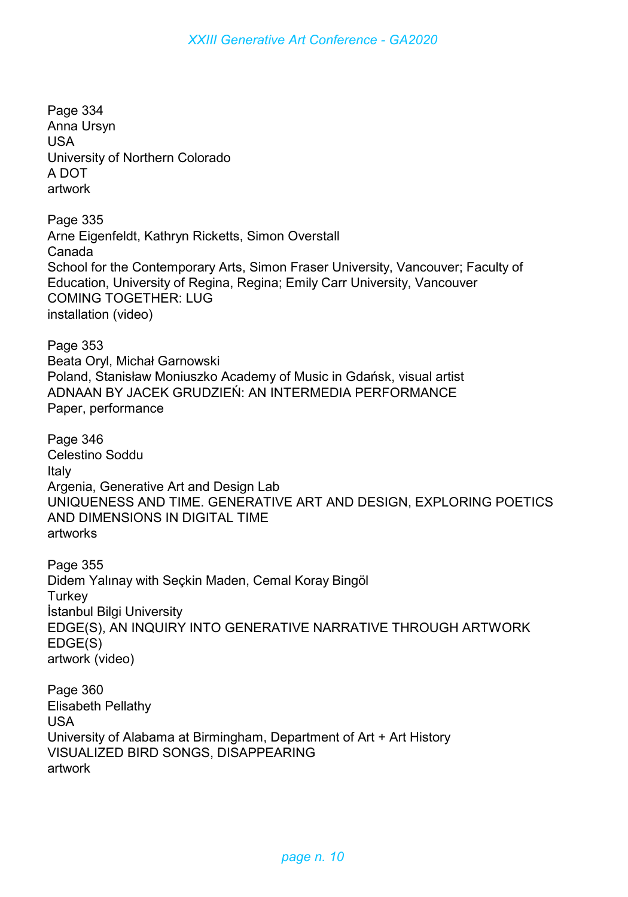Page 334 Anna Ursyn USA University of Northern Colorado A DOT artwork Page 335 Arne Eigenfeldt, Kathryn Ricketts, Simon Overstall Canada School for the Contemporary Arts, Simon Fraser University, Vancouver; Faculty of Education, University of Regina, Regina; Emily Carr University, Vancouver COMING TOGETHER: LUG installation (video) Page 353 Beata Oryl, Michał Garnowski Poland, Stanisław Moniuszko Academy of Music in Gdańsk, visual artist ADNAAN BY JACEK GRUDZIEŃ: AN INTERMEDIA PERFORMANCE Paper, performance Page 346 Celestino Soddu Italy Argenia, Generative Art and Design Lab UNIQUENESS AND TIME. GENERATIVE ART AND DESIGN, EXPLORING POETICS AND DIMENSIONS IN DIGITAL TIME artworks Page 355 Didem Yalınay with Seçkin Maden, Cemal Koray Bingöl **Turkey** İstanbul Bilgi University EDGE(S), AN INQUIRY INTO GENERATIVE NARRATIVE THROUGH ARTWORK EDGE(S) artwork (video) Page 360 Elisabeth Pellathy USA University of Alabama at Birmingham, Department of Art + Art History VISUALIZED BIRD SONGS, DISAPPEARING artwork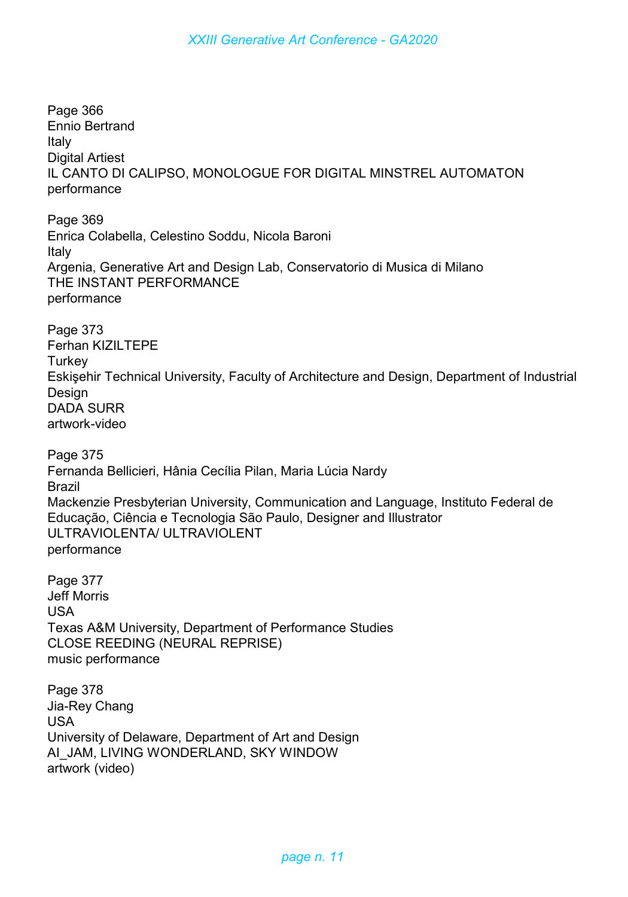Page 366 Ennio Bertrand Italy Digital Artiest IL CANTO DI CALIPSO, MONOLOGUE FOR DIGITAL MINSTREL AUTOMATON performance

Page 369 Enrica Colabella, Celestino Soddu, Nicola Baroni Italy Argenia, Generative Art and Design Lab, Conservatorio di Musica di Milano THE INSTANT PERFORMANCE performance

Page 373 Ferhan KIZILTEPE **Turkey** Eskişehir Technical University, Faculty of Architecture and Design, Department of Industrial **Design** DADA SURR artwork-video

Page 375 Fernanda Bellicieri, Hânia Cecília Pilan, Maria Lúcia Nardy Brazil Mackenzie Presbyterian University, Communication and Language, Instituto Federal de Educação, Ciência e Tecnologia São Paulo, Designer and Illustrator ULTRAVIOLENTA/ ULTRAVIOLENT performance

Page 377 Jeff Morris USA Texas A&M University, Department of Performance Studies CLOSE REEDING (NEURAL REPRISE) music performance

Page 378 Jia-Rey Chang USA University of Delaware, Department of Art and Design AI\_JAM, LIVING WONDERLAND, SKY WINDOW artwork (video)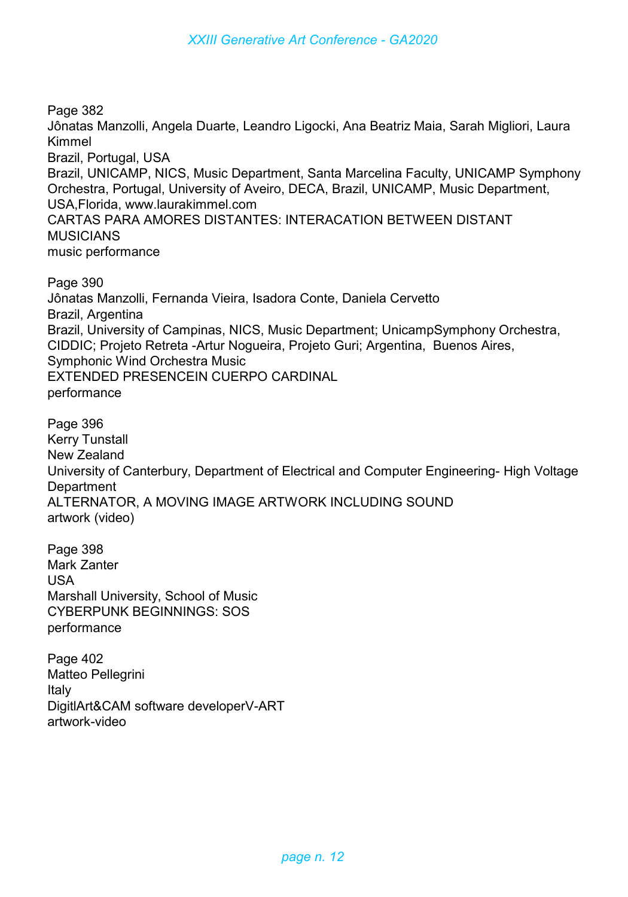Page 382 Jônatas Manzolli, Angela Duarte, Leandro Ligocki, Ana Beatriz Maia, Sarah Migliori, Laura Kimmel Brazil, Portugal, USA Brazil, UNICAMP, NICS, Music Department, Santa Marcelina Faculty, UNICAMP Symphony Orchestra, Portugal, University of Aveiro, DECA, Brazil, UNICAMP, Music Department, USA,Florida, www.laurakimmel.com CARTAS PARA AMORES DISTANTES: INTERACATION BETWEEN DISTANT **MUSICIANS** music performance

Page 390 Jônatas Manzolli, Fernanda Vieira, Isadora Conte, Daniela Cervetto Brazil, Argentina Brazil, University of Campinas, NICS, Music Department; UnicampSymphony Orchestra, CIDDIC; Projeto Retreta -Artur Nogueira, Projeto Guri; Argentina, Buenos Aires, Symphonic Wind Orchestra Music EXTENDED PRESENCEIN CUERPO CARDINAL performance

Page 396 Kerry Tunstall New Zealand University of Canterbury, Department of Electrical and Computer Engineering- High Voltage **Department** ALTERNATOR, A MOVING IMAGE ARTWORK INCLUDING SOUND artwork (video)

Page 398 Mark Zanter USA Marshall University, School of Music CYBERPUNK BEGINNINGS: SOS performance

Page 402 Matteo Pellegrini Italy DigitlArt&CAM software developerV-ART artwork-video